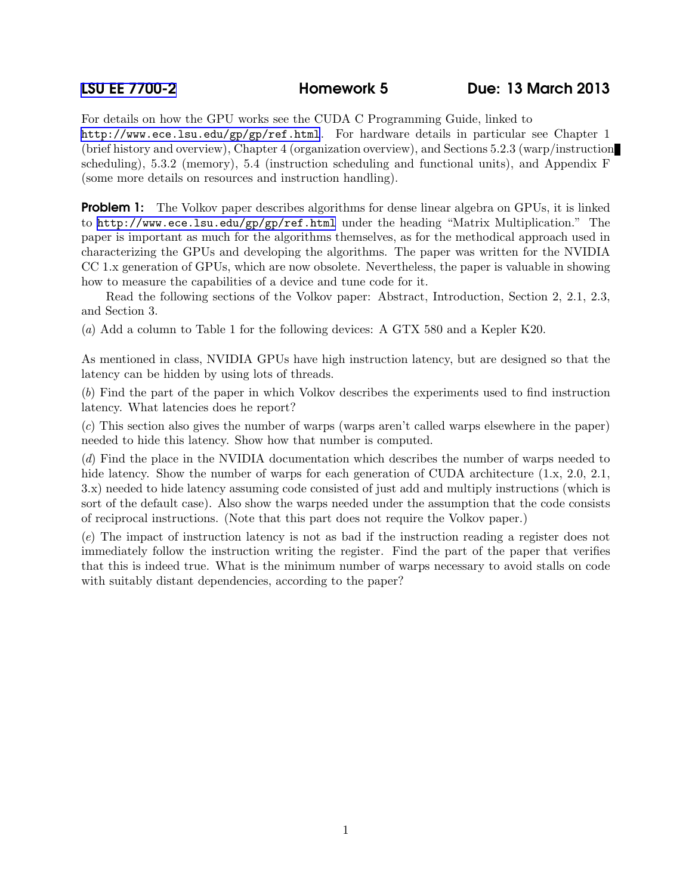For details on how the GPU works see the CUDA C Programming Guide, linked to <http://www.ece.lsu.edu/gp/gp/ref.html>. For hardware details in particular see Chapter 1 (brief history and overview), Chapter 4 (organization overview), and Sections 5.2.3 (warp/instruction scheduling), 5.3.2 (memory), 5.4 (instruction scheduling and functional units), and Appendix F (some more details on resources and instruction handling).

**Problem 1:** The Volkov paper describes algorithms for dense linear algebra on GPUs, it is linked to <http://www.ece.lsu.edu/gp/gp/ref.html> under the heading "Matrix Multiplication." The paper is important as much for the algorithms themselves, as for the methodical approach used in characterizing the GPUs and developing the algorithms. The paper was written for the NVIDIA CC 1.x generation of GPUs, which are now obsolete. Nevertheless, the paper is valuable in showing how to measure the capabilities of a device and tune code for it.

Read the following sections of the Volkov paper: Abstract, Introduction, Section 2, 2.1, 2.3, and Section 3.

(a) Add a column to Table 1 for the following devices: A GTX 580 and a Kepler K20.

As mentioned in class, NVIDIA GPUs have high instruction latency, but are designed so that the latency can be hidden by using lots of threads.

(b) Find the part of the paper in which Volkov describes the experiments used to find instruction latency. What latencies does he report?

(c) This section also gives the number of warps (warps aren't called warps elsewhere in the paper) needed to hide this latency. Show how that number is computed.

(d) Find the place in the NVIDIA documentation which describes the number of warps needed to hide latency. Show the number of warps for each generation of CUDA architecture  $(1.x, 2.0, 2.1, ...)$ 3.x) needed to hide latency assuming code consisted of just add and multiply instructions (which is sort of the default case). Also show the warps needed under the assumption that the code consists of reciprocal instructions. (Note that this part does not require the Volkov paper.)

(e) The impact of instruction latency is not as bad if the instruction reading a register does not immediately follow the instruction writing the register. Find the part of the paper that verifies that this is indeed true. What is the minimum number of warps necessary to avoid stalls on code with suitably distant dependencies, according to the paper?